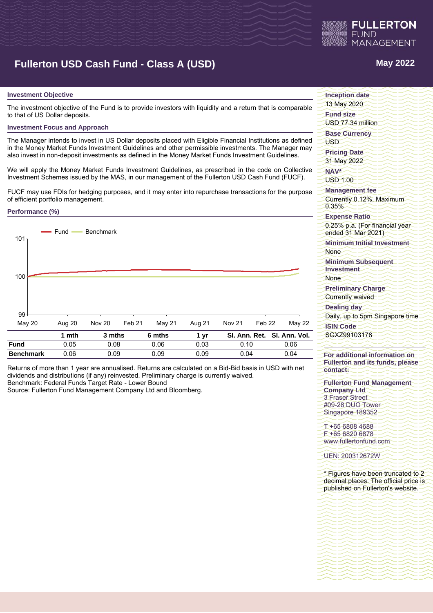

# **Fullerton USD Cash Fund - Class A (USD) May 2022**

## **Investment Objective**

The investment objective of the Fund is to provide investors with liquidity and a return that is comparable to that of US Dollar deposits.

#### **Investment Focus and Approach**

The Manager intends to invest in US Dollar deposits placed with Eligible Financial Institutions as defined in the Money Market Funds Investment Guidelines and other permissible investments. The Manager may also invest in non-deposit investments as defined in the Money Market Funds Investment Guidelines.

We will apply the Money Market Funds Investment Guidelines, as prescribed in the code on Collective Investment Schemes issued by the MAS, in our management of the Fullerton USD Cash Fund (FUCF).

FUCF may use FDIs for hedging purposes, and it may enter into repurchase transactions for the purpose of efficient portfolio management.

### **Performance (%)**



Returns of more than 1 year are annualised. Returns are calculated on a Bid-Bid basis in USD with net dividends and distributions (if any) reinvested. Preliminary charge is currently waived. Benchmark: Federal Funds Target Rate - Lower Bound

Source: Fullerton Fund Management Company Ltd and Bloomberg.

**Inception date** 13 May 2020 **Fund size** USD 77.34 million **Base Currency** USD **Pricing Date** 31 May 2022 **NAV\*** USD 1.00 **Management fee** Currently 0.12%, Maximum 0.35% **Expense Ratio** 0.25% p.a. (For financial year ended 31 Mar 2021) **Minimum Initial Investment None Minimum Subsequent Investment None Preliminary Charge** Currently waived **Dealing day** Daily, up to 5pm Singapore time **ISIN Code**

SGXZ99103178

**For additional information on Fullerton and its funds, please contact:**

**Fullerton Fund Management Company Ltd** 3 Fraser Street #09-28 DUO Tower Singapore 189352

T +65 6808 4688 F +65 6820 6878 www.fullertonfund.com

UEN: 200312672W

\* Figures have been truncated to 2 decimal places. The official price is published on Fullerton's website.